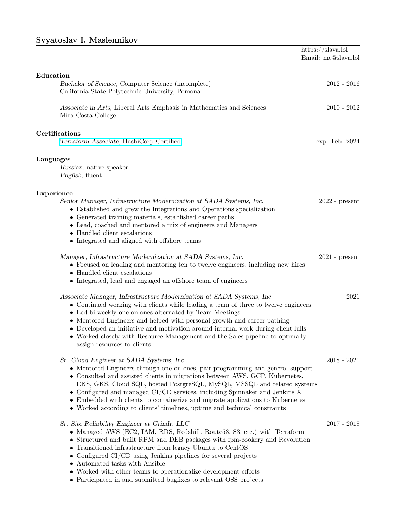## Svyatoslav I. Maslennikov

|                                                                                                                                                                                                                                                                                                                                                                                                                                                                                                                                                 | https://slava.lol<br>Email: me@slava.lol |
|-------------------------------------------------------------------------------------------------------------------------------------------------------------------------------------------------------------------------------------------------------------------------------------------------------------------------------------------------------------------------------------------------------------------------------------------------------------------------------------------------------------------------------------------------|------------------------------------------|
| Education<br>Bachelor of Science, Computer Science (incomplete)<br>California State Polytechnic University, Pomona                                                                                                                                                                                                                                                                                                                                                                                                                              | $2012 - 2016$                            |
| Associate in Arts, Liberal Arts Emphasis in Mathematics and Sciences<br>Mira Costa College                                                                                                                                                                                                                                                                                                                                                                                                                                                      | $2010 - 2012$                            |
| Certifications<br>Terraform Associate, HashiCorp Certified                                                                                                                                                                                                                                                                                                                                                                                                                                                                                      | exp. Feb. 2024                           |
| Languages<br>Russian, native speaker<br>English, fluent                                                                                                                                                                                                                                                                                                                                                                                                                                                                                         |                                          |
| Experience<br>Senior Manager, Infrastructure Modernization at SADA Systems, Inc.<br>• Established and grew the Integrations and Operations specialization<br>• Generated training materials, established career paths<br>• Lead, coached and mentored a mix of engineers and Managers<br>• Handled client escalations<br>• Integrated and aligned with offshore teams                                                                                                                                                                           | $2022$ - present                         |
| Manager, Infrastructure Modernization at SADA Systems, Inc.<br>• Focused on leading and mentoring ten to twelve engineers, including new hires<br>• Handled client escalations<br>• Integrated, lead and engaged an offshore team of engineers                                                                                                                                                                                                                                                                                                  | $2021$ - present                         |
| Associate Manager, Infrastructure Modernization at SADA Systems, Inc.<br>• Continued working with clients while leading a team of three to twelve engineers<br>• Led bi-weekly one-on-ones alternated by Team Meetings<br>• Mentored Engineers and helped with personal growth and career pathing<br>$\bullet\,$ Developed an initiative and motivation around internal work during client lulls<br>• Worked closely with Resource Management and the Sales pipeline to optimally<br>assign resources to clients                                | 2021                                     |
| Sr. Cloud Engineer at SADA Systems, Inc.<br>• Mentored Engineers through one-on-ones, pair programming and general support<br>• Consulted and assisted clients in migrations between AWS, GCP, Kubernetes,<br>EKS, GKS, Cloud SQL, hosted PostgreSQL, MySQL, MSSQL and related systems<br>$\bullet$ Configured and managed CI/CD services, including Spinnaker and Jenkins X<br>• Embedded with clients to containerize and migrate applications to Kubernetes<br>• Worked according to clients' timelines, uptime and technical constraints    | $2018 - 2021$                            |
| Sr. Site Reliability Engineer at Grindr, LLC<br>• Managed AWS (EC2, IAM, RDS, Redshift, Route53, S3, etc.) with Terraform<br>$\bullet\,$ Structured and built RPM and DEB packages with fpm-cookery and Revolution<br>• Transitioned infrastructure from legacy Ubuntu to CentOS<br>$\bullet$ Configured CI/CD using Jenkins pipelines for several projects<br>• Automated tasks with Ansible<br>$\bullet\,$ Worked with other teams to operationalize development efforts<br>• Participated in and submitted bugfixes to relevant OSS projects | $2017 - 2018$                            |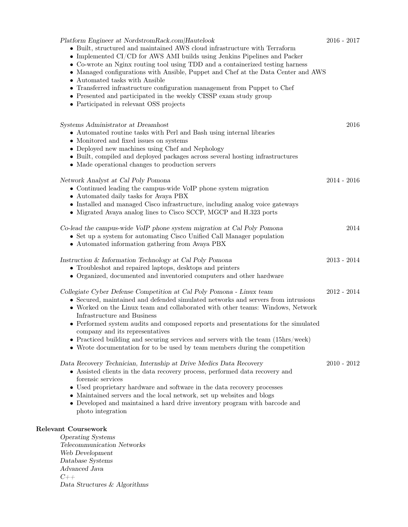| Platform Engineer at NordstromRack.com/Hautelook<br>• Built, structured and maintained AWS cloud infrastructure with Terraform<br>$\bullet$ Implemented CI/CD for AWS AMI builds using Jenkins Pipelines and Packer<br>• Co-wrote an Nginx routing tool using TDD and a containerized testing harness<br>• Managed configurations with Ansible, Puppet and Chef at the Data Center and AWS<br>• Automated tasks with Ansible<br>• Transferred infrastructure configuration management from Puppet to Chef<br>$\bullet\,$ Presented and participated in the weekly CISSP exam study group<br>• Participated in relevant OSS projects | $2016 - 2017$ |
|-------------------------------------------------------------------------------------------------------------------------------------------------------------------------------------------------------------------------------------------------------------------------------------------------------------------------------------------------------------------------------------------------------------------------------------------------------------------------------------------------------------------------------------------------------------------------------------------------------------------------------------|---------------|
| Systems Administrator at Dreamhost<br>• Automated routine tasks with Perl and Bash using internal libraries<br>$\bullet\,$ Monitored and fixed issues on systems<br>• Deployed new machines using Chef and Nephology<br>• Built, compiled and deployed packages across several hosting infrastructures<br>• Made operational changes to production servers                                                                                                                                                                                                                                                                          | 2016          |
| Network Analyst at Cal Poly Pomona<br>• Continued leading the campus-wide VoIP phone system migration<br>• Automated daily tasks for Avaya PBX<br>• Installed and managed Cisco infrastructure, including analog voice gateways<br>• Migrated Avaya analog lines to Cisco SCCP, MGCP and H.323 ports                                                                                                                                                                                                                                                                                                                                | $2014 - 2016$ |
| Co-lead the campus-wide VoIP phone system migration at Cal Poly Pomona<br>• Set up a system for automating Cisco Unified Call Manager population<br>• Automated information gathering from Avaya PBX                                                                                                                                                                                                                                                                                                                                                                                                                                | 2014          |
| Instruction & Information Technology at Cal Poly Pomona<br>• Troubleshot and repaired laptops, desktops and printers<br>• Organized, documented and inventoried computers and other hardware                                                                                                                                                                                                                                                                                                                                                                                                                                        | $2013 - 2014$ |
| Collegiate Cyber Defense Competition at Cal Poly Pomona - Linux team<br>• Secured, maintained and defended simulated networks and servers from intrusions<br>• Worked on the Linux team and collaborated with other teams: Windows, Network<br>Infrastructure and Business<br>• Performed system audits and composed reports and presentations for the simulated<br>company and its representatives<br>• Practiced building and securing services and servers with the team $(15\text{hrs}/\text{week})$<br>• Wrote documentation for to be used by team members during the competition                                             | $2012 - 2014$ |
| Data Recovery Technician, Internship at Drive Medics Data Recovery<br>• Assisted clients in the data recovery process, performed data recovery and<br>forensic services<br>• Used proprietary hardware and software in the data recovery processes<br>• Maintained servers and the local network, set up websites and blogs<br>$\bullet\,$ Developed and maintained a hard drive inventory program with barcode and<br>photo integration                                                                                                                                                                                            | $2010 - 2012$ |
| Relevant Coursework<br><b>Operating Systems</b><br>Telecommunication Networks<br>Web Development<br>Database Systems<br>Advanced Java<br>$C++$<br>Data Structures & Algorithms                                                                                                                                                                                                                                                                                                                                                                                                                                                      |               |